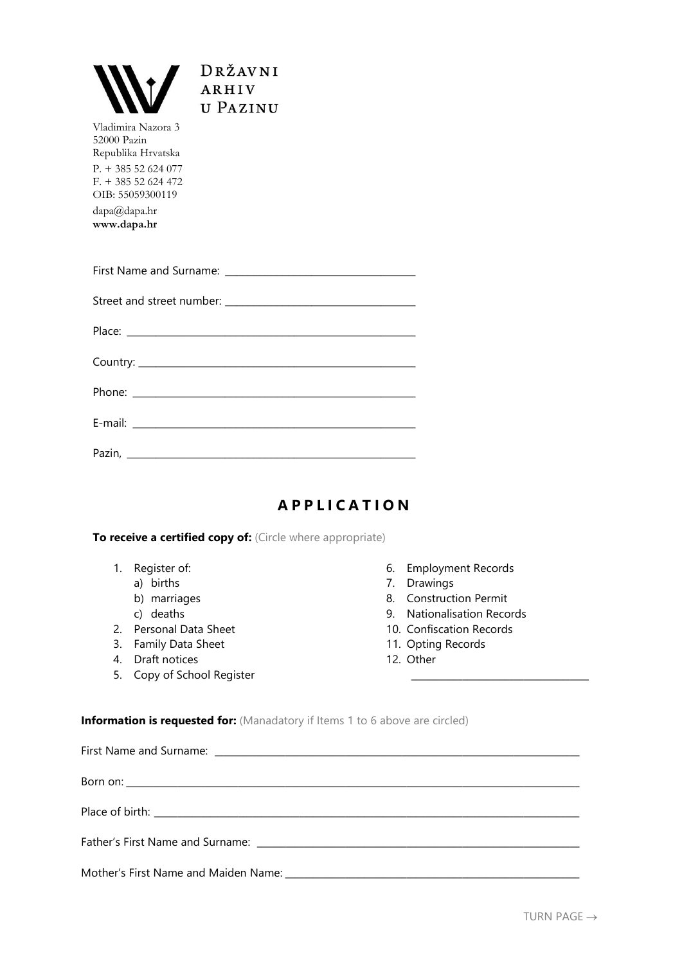

Vladimira Nazora 3 52000 Pazin Republika Hrvatska P. + 385 52 624 077 F. + 385 52 624 472 OIB: 55059300119 dapa@dapa.hr

**www.dapa.hr**

## **A P P L I C A T I O N**

## **To receive a certified copy of:** (Circle where appropriate)

- 1. Register of:
	- a) births
	- b) marriages
	- c) deaths
- 2. Personal Data Sheet
- 3. Family Data Sheet
- 4. Draft notices
- 5. Copy of School Register
- 6. Employment Records
- 7. Drawings
- 8. Construction Permit
- 9. Nationalisation Records

\_\_\_\_\_\_\_\_\_\_\_\_\_\_\_\_\_\_\_\_\_\_\_\_\_\_\_\_\_\_\_\_\_\_\_\_\_\_

- 10. Confiscation Records
- 11. Opting Records
- 12. Other

**Information is requested for:** (Manadatory if Items 1 to 6 above are circled)